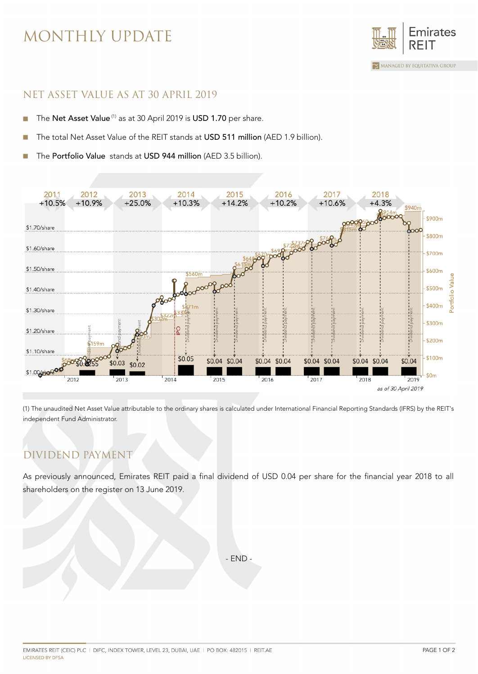## MONTHLY UPDATE



#### NET ASSET VALUE AS AT 30 APRIL 2019

- The Net Asset Value<sup>(1)</sup> as at 30 April 2019 is USD 1.70 per share. ×,
- The total Net Asset Value of the REIT stands at USD 511 million (AED 1.9 billion).
- The Portfolio Value stands at USD 944 million (AED 3.5 billion).



(1) The unaudited Net Asset Value attributable to the ordinary shares is calculated under International Financial Reporting Standards (IFRS) by the REIT's independent Fund Administrator.

## DIVIDEND PAYMENT

As previously announced, Emirates REIT paid a final dividend of USD 0.04 per share for the financial year 2018 to all shareholders on the register on 13 June 2019.

- END -